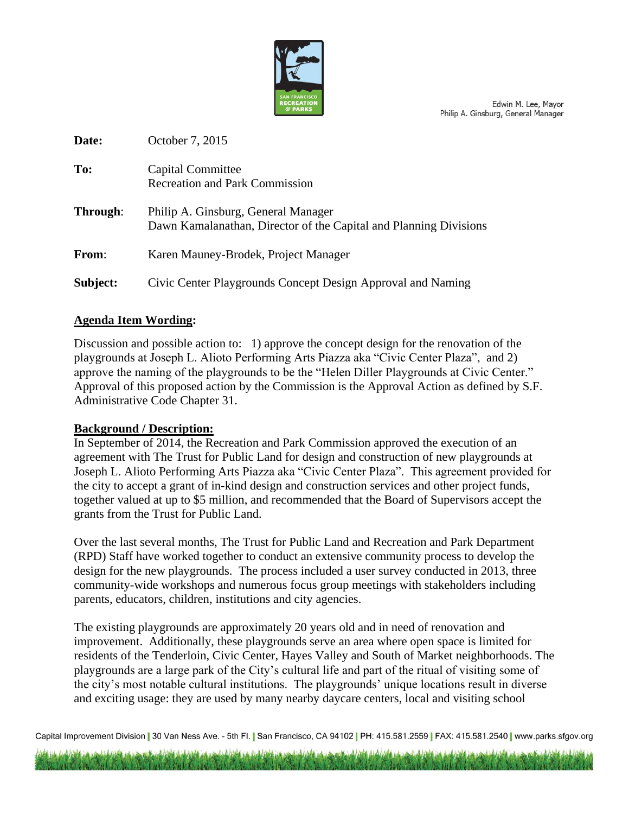

Edwin M. Lee, Mayor Philip A. Ginsburg, General Manager

| Date:        | October 7, 2015                                                                                          |
|--------------|----------------------------------------------------------------------------------------------------------|
| To:          | Capital Committee<br><b>Recreation and Park Commission</b>                                               |
| Through:     | Philip A. Ginsburg, General Manager<br>Dawn Kamalanathan, Director of the Capital and Planning Divisions |
| <b>From:</b> | Karen Mauney-Brodek, Project Manager                                                                     |
| Subject:     | Civic Center Playgrounds Concept Design Approval and Naming                                              |

## **Agenda Item Wording:**

Discussion and possible action to: 1) approve the concept design for the renovation of the playgrounds at Joseph L. Alioto Performing Arts Piazza aka "Civic Center Plaza", and 2) approve the naming of the playgrounds to be the "Helen Diller Playgrounds at Civic Center." Approval of this proposed action by the Commission is the Approval Action as defined by S.F. Administrative Code Chapter 31.

## **Background / Description:**

In September of 2014, the Recreation and Park Commission approved the execution of an agreement with The Trust for Public Land for design and construction of new playgrounds at Joseph L. Alioto Performing Arts Piazza aka "Civic Center Plaza". This agreement provided for the city to accept a grant of in-kind design and construction services and other project funds, together valued at up to \$5 million, and recommended that the Board of Supervisors accept the grants from the Trust for Public Land.

Over the last several months, The Trust for Public Land and Recreation and Park Department (RPD) Staff have worked together to conduct an extensive community process to develop the design for the new playgrounds. The process included a user survey conducted in 2013, three community-wide workshops and numerous focus group meetings with stakeholders including parents, educators, children, institutions and city agencies.

The existing playgrounds are approximately 20 years old and in need of renovation and improvement. Additionally, these playgrounds serve an area where open space is limited for residents of the Tenderloin, Civic Center, Hayes Valley and South of Market neighborhoods. The playgrounds are a large park of the City's cultural life and part of the ritual of visiting some of the city's most notable cultural institutions. The playgrounds' unique locations result in diverse and exciting usage: they are used by many nearby daycare centers, local and visiting school

Capital Improvement Division | 30 Van Ness Ave. - 5th Fl. | San Francisco, CA 94102 | PH: 415.581.2559 | FAX: 415.581.2540 | www.parks.sfgov.org

مدهن واقتباشه ستواطئ لشرحتهم والديشية واقتباشيتكم جدعم والديشينجيدهن واقتباسني ومنافضه وعد والمنشيل واقتباستكم جدعد وأوالانشيار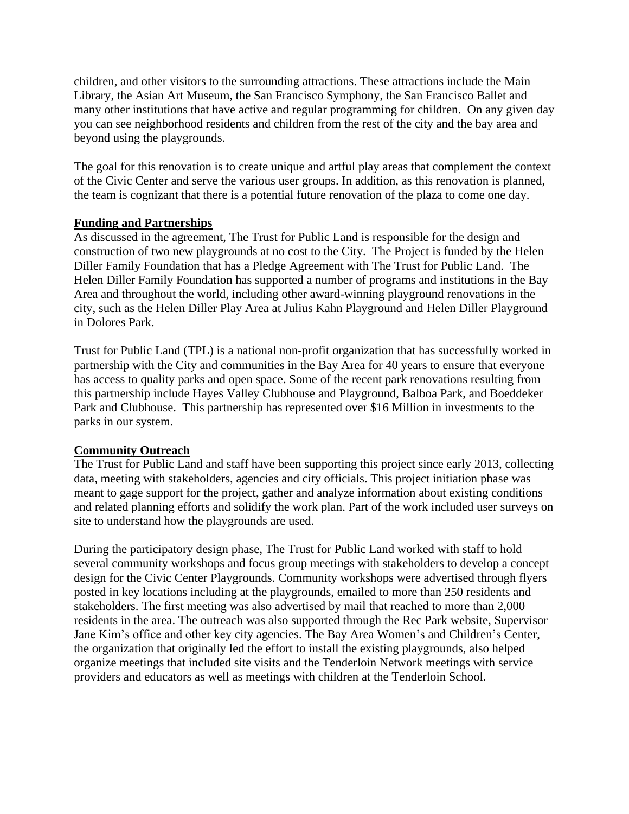children, and other visitors to the surrounding attractions. These attractions include the Main Library, the Asian Art Museum, the San Francisco Symphony, the San Francisco Ballet and many other institutions that have active and regular programming for children. On any given day you can see neighborhood residents and children from the rest of the city and the bay area and beyond using the playgrounds.

The goal for this renovation is to create unique and artful play areas that complement the context of the Civic Center and serve the various user groups. In addition, as this renovation is planned, the team is cognizant that there is a potential future renovation of the plaza to come one day.

## **Funding and Partnerships**

As discussed in the agreement, The Trust for Public Land is responsible for the design and construction of two new playgrounds at no cost to the City. The Project is funded by the Helen Diller Family Foundation that has a Pledge Agreement with The Trust for Public Land. The Helen Diller Family Foundation has supported a number of programs and institutions in the Bay Area and throughout the world, including other award-winning playground renovations in the city, such as the Helen Diller Play Area at Julius Kahn Playground and Helen Diller Playground in Dolores Park.

Trust for Public Land (TPL) is a national non-profit organization that has successfully worked in partnership with the City and communities in the Bay Area for 40 years to ensure that everyone has access to quality parks and open space. Some of the recent park renovations resulting from this partnership include Hayes Valley Clubhouse and Playground, Balboa Park, and Boeddeker Park and Clubhouse. This partnership has represented over \$16 Million in investments to the parks in our system.

# **Community Outreach**

The Trust for Public Land and staff have been supporting this project since early 2013, collecting data, meeting with stakeholders, agencies and city officials. This project initiation phase was meant to gage support for the project, gather and analyze information about existing conditions and related planning efforts and solidify the work plan. Part of the work included user surveys on site to understand how the playgrounds are used.

During the participatory design phase, The Trust for Public Land worked with staff to hold several community workshops and focus group meetings with stakeholders to develop a concept design for the Civic Center Playgrounds. Community workshops were advertised through flyers posted in key locations including at the playgrounds, emailed to more than 250 residents and stakeholders. The first meeting was also advertised by mail that reached to more than 2,000 residents in the area. The outreach was also supported through the Rec Park website, Supervisor Jane Kim's office and other key city agencies. The Bay Area Women's and Children's Center, the organization that originally led the effort to install the existing playgrounds, also helped organize meetings that included site visits and the Tenderloin Network meetings with service providers and educators as well as meetings with children at the Tenderloin School.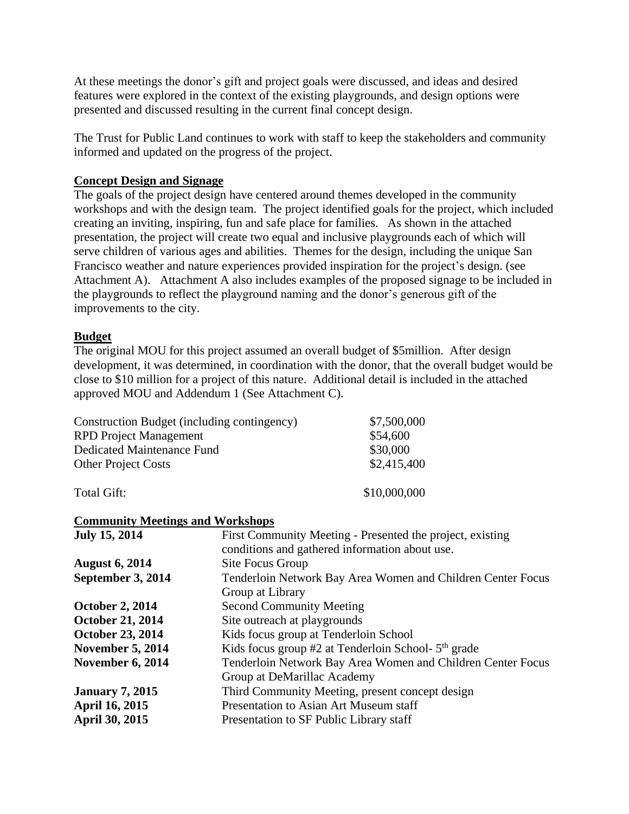At these meetings the donor's gift and project goals were discussed, and ideas and desired features were explored in the context of the existing playgrounds, and design options were presented and discussed resulting in the current final concept design.

The Trust for Public Land continues to work with staff to keep the stakeholders and community informed and updated on the progress of the project.

## **Concept Design and Signage**

The goals of the project design have centered around themes developed in the community workshops and with the design team. The project identified goals for the project, which included creating an inviting, inspiring, fun and safe place for families. As shown in the attached presentation, the project will create two equal and inclusive playgrounds each of which will serve children of various ages and abilities. Themes for the design, including the unique San Francisco weather and nature experiences provided inspiration for the project's design. (see Attachment A). Attachment A also includes examples of the proposed signage to be included in the playgrounds to reflect the playground naming and the donor's generous gift of the improvements to the city.

## **Budget**

The original MOU for this project assumed an overall budget of \$5million. After design development, it was determined, in coordination with the donor, that the overall budget would be close to \$10 million for a project of this nature. Additional detail is included in the attached approved MOU and Addendum 1 (See Attachment C).

| Construction Budget (including contingency) | \$7,500,000  |
|---------------------------------------------|--------------|
| <b>RPD</b> Project Management               | \$54,600     |
| Dedicated Maintenance Fund                  | \$30,000     |
| <b>Other Project Costs</b>                  | \$2,415,400  |
| Total Gift:                                 | \$10,000,000 |

## **Community Meetings and Workshops**

| <b>July 15, 2014</b>    | First Community Meeting - Presented the project, existing   |
|-------------------------|-------------------------------------------------------------|
|                         | conditions and gathered information about use.              |
| <b>August 6, 2014</b>   | Site Focus Group                                            |
| September 3, 2014       | Tenderloin Network Bay Area Women and Children Center Focus |
|                         | Group at Library                                            |
| <b>October 2, 2014</b>  | <b>Second Community Meeting</b>                             |
| <b>October 21, 2014</b> | Site outreach at playgrounds                                |
| <b>October 23, 2014</b> | Kids focus group at Tenderloin School                       |
| <b>November 5, 2014</b> | Kids focus group $#2$ at Tenderloin School- $5th$ grade     |
| <b>November 6, 2014</b> | Tenderloin Network Bay Area Women and Children Center Focus |
|                         | Group at DeMarillac Academy                                 |
| <b>January 7, 2015</b>  | Third Community Meeting, present concept design             |
| <b>April 16, 2015</b>   | Presentation to Asian Art Museum staff                      |
| <b>April 30, 2015</b>   | Presentation to SF Public Library staff                     |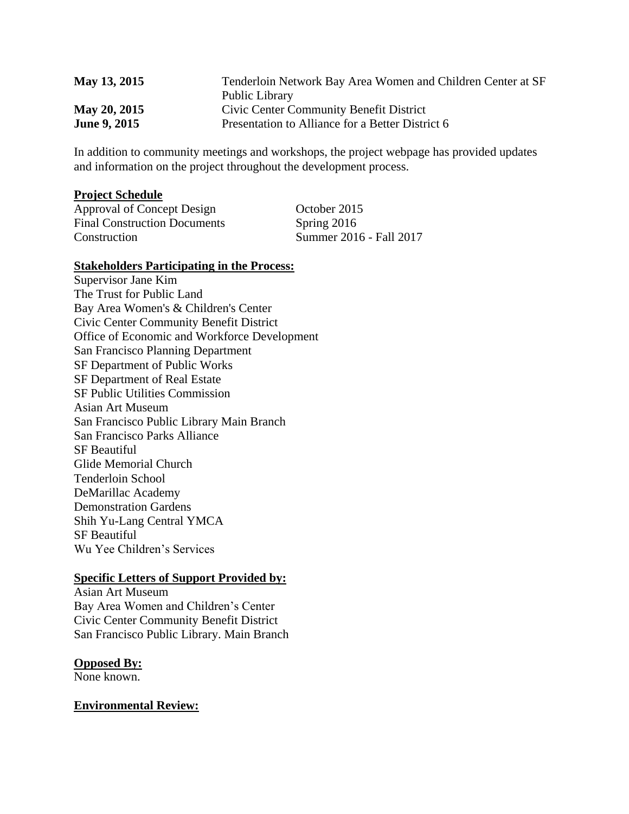| May 13, 2015        | Tenderloin Network Bay Area Women and Children Center at SF |
|---------------------|-------------------------------------------------------------|
|                     | Public Library                                              |
| May 20, 2015        | Civic Center Community Benefit District                     |
| <b>June 9, 2015</b> | Presentation to Alliance for a Better District 6            |

In addition to community meetings and workshops, the project webpage has provided updates and information on the project throughout the development process.

#### **Project Schedule**

Approval of Concept Design October 2015 Final Construction Documents Spring 2016 Construction Summer 2016 - Fall 2017

#### **Stakeholders Participating in the Process:**

Supervisor Jane Kim The Trust for Public Land Bay Area Women's & Children's Center Civic Center Community Benefit District Office of Economic and Workforce Development San Francisco Planning Department SF Department of Public Works SF Department of Real Estate SF Public Utilities Commission Asian Art Museum San Francisco Public Library Main Branch San Francisco Parks Alliance SF Beautiful Glide Memorial Church Tenderloin School DeMarillac Academy Demonstration Gardens Shih Yu-Lang Central YMCA SF Beautiful Wu Yee Children's Services

## **Specific Letters of Support Provided by:**

Asian Art Museum Bay Area Women and Children's Center Civic Center Community Benefit District San Francisco Public Library. Main Branch

## **Opposed By:**

None known.

## **Environmental Review:**